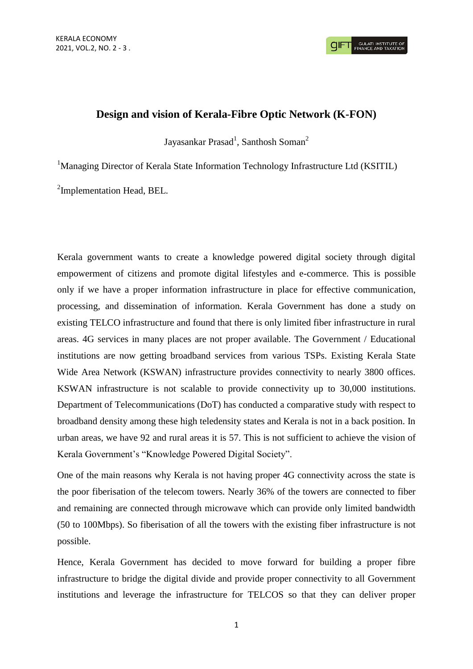**GULATI INSTITUTE O**<br>FINANCE AND TAXATIO

## **Design and vision of Kerala-Fibre Optic Network (K-FON)**

Jayasankar Prasad<sup>1</sup>, Santhosh Soman<sup>2</sup>

<sup>1</sup>Managing Director of Kerala State Information Technology Infrastructure Ltd (KSITIL)

<sup>2</sup>Implementation Head, BEL.

Kerala government wants to create a knowledge powered digital society through digital empowerment of citizens and promote digital lifestyles and e-commerce. This is possible only if we have a proper information infrastructure in place for effective communication, processing, and dissemination of information. Kerala Government has done a study on existing TELCO infrastructure and found that there is only limited fiber infrastructure in rural areas. 4G services in many places are not proper available. The Government / Educational institutions are now getting broadband services from various TSPs. Existing Kerala State Wide Area Network (KSWAN) infrastructure provides connectivity to nearly 3800 offices. KSWAN infrastructure is not scalable to provide connectivity up to 30,000 institutions. Department of Telecommunications (DoT) has conducted a comparative study with respect to broadband density among these high teledensity states and Kerala is not in a back position. In urban areas, we have 92 and rural areas it is 57. This is not sufficient to achieve the vision of Kerala Government's "Knowledge Powered Digital Society".

One of the main reasons why Kerala is not having proper 4G connectivity across the state is the poor fiberisation of the telecom towers. Nearly 36% of the towers are connected to fiber and remaining are connected through microwave which can provide only limited bandwidth (50 to 100Mbps). So fiberisation of all the towers with the existing fiber infrastructure is not possible.

Hence, Kerala Government has decided to move forward for building a proper fibre infrastructure to bridge the digital divide and provide proper connectivity to all Government institutions and leverage the infrastructure for TELCOS so that they can deliver proper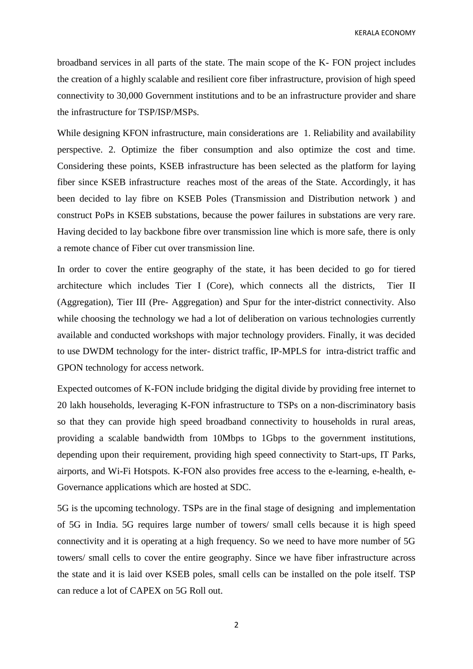KERALA ECONOMY

broadband services in all parts of the state. The main scope of the K- FON project includes the creation of a highly scalable and resilient core fiber infrastructure, provision of high speed connectivity to 30,000 Government institutions and to be an infrastructure provider and share the infrastructure for TSP/ISP/MSPs.

While designing KFON infrastructure, main considerations are 1. Reliability and availability perspective. 2. Optimize the fiber consumption and also optimize the cost and time. Considering these points, KSEB infrastructure has been selected as the platform for laying fiber since KSEB infrastructure reaches most of the areas of the State. Accordingly, it has been decided to lay fibre on KSEB Poles (Transmission and Distribution network ) and construct PoPs in KSEB substations, because the power failures in substations are very rare. Having decided to lay backbone fibre over transmission line which is more safe, there is only a remote chance of Fiber cut over transmission line.

In order to cover the entire geography of the state, it has been decided to go for tiered architecture which includes Tier I (Core), which connects all the districts, Tier II (Aggregation), Tier III (Pre- Aggregation) and Spur for the inter-district connectivity. Also while choosing the technology we had a lot of deliberation on various technologies currently available and conducted workshops with major technology providers. Finally, it was decided to use DWDM technology for the inter- district traffic, IP-MPLS for intra-district traffic and GPON technology for access network.

Expected outcomes of K-FON include bridging the digital divide by providing free internet to 20 lakh households, leveraging K-FON infrastructure to TSPs on a non-discriminatory basis so that they can provide high speed broadband connectivity to households in rural areas, providing a scalable bandwidth from 10Mbps to 1Gbps to the government institutions, depending upon their requirement, providing high speed connectivity to Start-ups, IT Parks, airports, and Wi-Fi Hotspots. K-FON also provides free access to the e-learning, e-health, e-Governance applications which are hosted at SDC.

5G is the upcoming technology. TSPs are in the final stage of designing and implementation of 5G in India. 5G requires large number of towers/ small cells because it is high speed connectivity and it is operating at a high frequency. So we need to have more number of 5G towers/ small cells to cover the entire geography. Since we have fiber infrastructure across the state and it is laid over KSEB poles, small cells can be installed on the pole itself. TSP can reduce a lot of CAPEX on 5G Roll out.